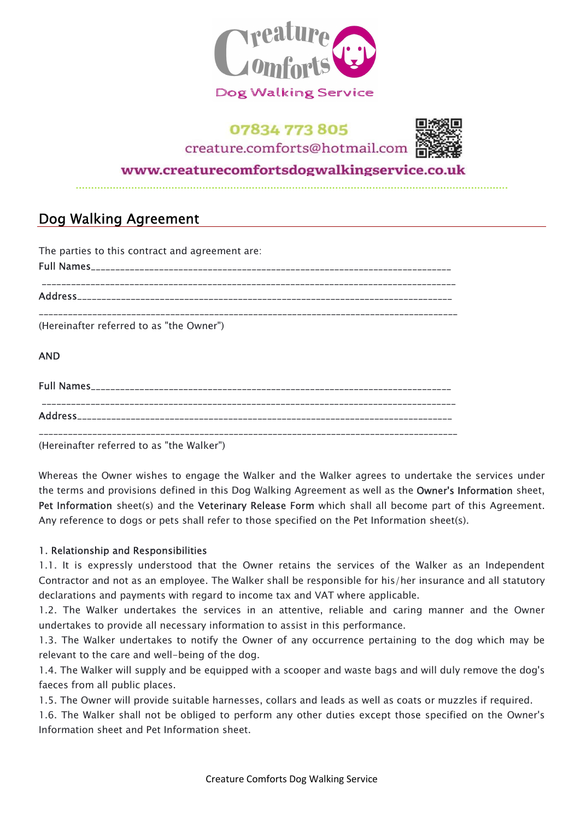

# 07834 773 805



creature.comforts@hotmail.com

## Dog Walking Agreement

| www.creaturecomfortsdogwalkingservice.co.uk                                                                                                                                                                                                                                                                                                                                                                                                     |
|-------------------------------------------------------------------------------------------------------------------------------------------------------------------------------------------------------------------------------------------------------------------------------------------------------------------------------------------------------------------------------------------------------------------------------------------------|
| Dog Walking Agreement                                                                                                                                                                                                                                                                                                                                                                                                                           |
| The parties to this contract and agreement are:                                                                                                                                                                                                                                                                                                                                                                                                 |
|                                                                                                                                                                                                                                                                                                                                                                                                                                                 |
| (Hereinafter referred to as "the Owner")                                                                                                                                                                                                                                                                                                                                                                                                        |
| AND                                                                                                                                                                                                                                                                                                                                                                                                                                             |
|                                                                                                                                                                                                                                                                                                                                                                                                                                                 |
|                                                                                                                                                                                                                                                                                                                                                                                                                                                 |
| (Hereinafter referred to as "the Walker")                                                                                                                                                                                                                                                                                                                                                                                                       |
| Whereas the Owner wishes to engage the Walker and the Walker agrees to undertake the services under<br>the terms and provisions defined in this Dog Walking Agreement as well as the Owner's Information sheet,<br>Pet Information sheet(s) and the Veterinary Release Form which shall all become part of this Agreement.<br>Any reference to dogs or pets shall refer to those specified on the Pet Information sheet(s).                     |
| 1. Relationship and Responsibilities<br>1.1. It is expressly understood that the Owner retains the services of the Walker as an Independent<br>Contractor and not as an employee. The Walker shall be responsible for his/her insurance and all statutory<br>declarations and payments with regard to income tax and VAT where applicable.<br>1.2. The Walker undertakes the services in an attentive, reliable and caring manner and the Owner |
| undertakes to provide all necessary information to assist in this performance.<br>1.3. The Walker undertakes to notify the Owner of any occurrence pertaining to the dog which may be<br>relevant to the care and well-being of the dog.                                                                                                                                                                                                        |
| 1.4. The Walker will supply and be equipped with a scooper and waste bags and will duly remove the dog's<br>faeces from all public places.                                                                                                                                                                                                                                                                                                      |
| 1.5. The Owner will provide suitable harnesses, collars and leads as well as coats or muzzles if required.<br>1.6. The Walker shall not be obliged to perform any other duties except those specified on the Owner's                                                                                                                                                                                                                            |

#### AND

| (Hereinafter referred to as "the Owner") |  |
|------------------------------------------|--|
| <b>AND</b>                               |  |
|                                          |  |
|                                          |  |
|                                          |  |

#### 1. Relationship and Responsibilities

1.6. The Walker shall not be obliged to perform any other duties except those specified on the Owner's Information sheet and Pet Information sheet.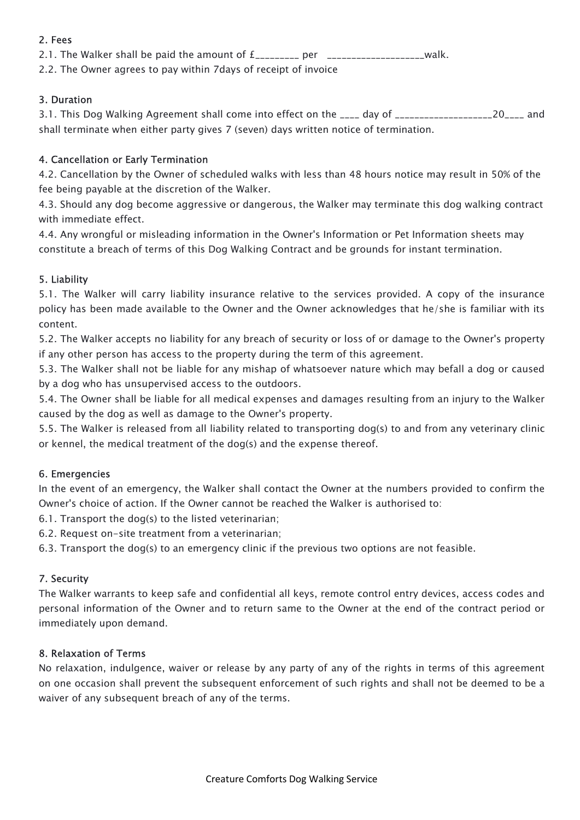#### 2. Fees

2.1. The Walker shall be paid the amount of  $f_{\text{2}}$  per \_\_\_\_\_\_\_\_\_\_\_\_\_\_\_\_\_\_\_\_\_\_\_walk.

2.2. The Owner agrees to pay within 7days of receipt of invoice

#### 3. Duration

3.1. This Dog Walking Agreement shall come into effect on the \_\_\_\_ day of \_\_\_\_\_\_\_\_\_\_\_\_\_\_\_\_\_\_\_\_20\_\_\_\_ and shall terminate when either party gives 7 (seven) days written notice of termination.

#### 4. Cancellation or Early Termination

4.2. Cancellation by the Owner of scheduled walks with less than 48 hours notice may result in 50% of the fee being payable at the discretion of the Walker.

4.3. Should any dog become aggressive or dangerous, the Walker may terminate this dog walking contract with immediate effect.

4.4. Any wrongful or misleading information in the Owner's Information or Pet Information sheets may constitute a breach of terms of this Dog Walking Contract and be grounds for instant termination.

#### 5. Liability

5.1. The Walker will carry liability insurance relative to the services provided. A copy of the insurance policy has been made available to the Owner and the Owner acknowledges that he/she is familiar with its content.

5.2. The Walker accepts no liability for any breach of security or loss of or damage to the Owner's property if any other person has access to the property during the term of this agreement.

5.3. The Walker shall not be liable for any mishap of whatsoever nature which may befall a dog or caused by a dog who has unsupervised access to the outdoors.

5.4. The Owner shall be liable for all medical expenses and damages resulting from an injury to the Walker caused by the dog as well as damage to the Owner's property.

5.5. The Walker is released from all liability related to transporting dog(s) to and from any veterinary clinic or kennel, the medical treatment of the dog(s) and the expense thereof.

#### 6. Emergencies

In the event of an emergency, the Walker shall contact the Owner at the numbers provided to confirm the Owner's choice of action. If the Owner cannot be reached the Walker is authorised to:

6.1. Transport the dog(s) to the listed veterinarian;

6.2. Request on-site treatment from a veterinarian;

6.3. Transport the dog(s) to an emergency clinic if the previous two options are not feasible.

### 7. Security

The Walker warrants to keep safe and confidential all keys, remote control entry devices, access codes and personal information of the Owner and to return same to the Owner at the end of the contract period or immediately upon demand.

#### 8. Relaxation of Terms

No relaxation, indulgence, waiver or release by any party of any of the rights in terms of this agreement on one occasion shall prevent the subsequent enforcement of such rights and shall not be deemed to be a waiver of any subsequent breach of any of the terms.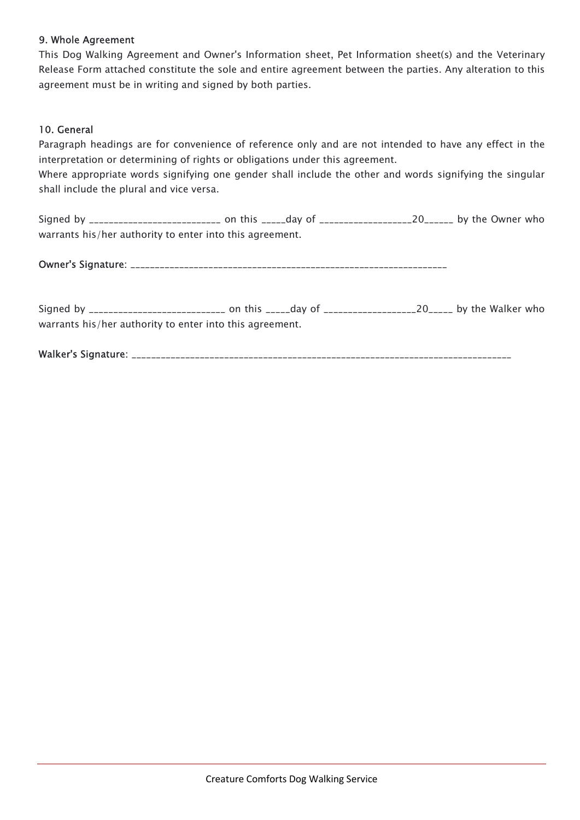#### 9. Whole Agreement

This Dog Walking Agreement and Owner's Information sheet, Pet Information sheet(s) and the Veterinary Release Form attached constitute the sole and entire agreement between the parties. Any alteration to this agreement must be in writing and signed by both parties.

#### 10. General

l.

Paragraph headings are for convenience of reference only and are not intended to have any effect in the interpretation or determining of rights or obligations under this agreement.

Where appropriate words signifying one gender shall include the other and words signifying the singular shall include the plural and vice versa.

Signed by \_\_\_\_\_\_\_\_\_\_\_\_\_\_\_\_\_\_\_\_\_\_\_\_\_\_\_ on this \_\_\_\_\_day of \_\_\_\_\_\_\_\_\_\_\_\_\_\_\_\_\_\_\_20\_\_\_\_\_\_ by the Owner who warrants his/her authority to enter into this agreement.

Owner's Signature: \_\_\_\_\_\_\_\_\_\_\_\_\_\_\_\_\_\_\_\_\_\_\_\_\_\_\_\_\_\_\_\_\_\_\_\_\_\_\_\_\_\_\_\_\_\_\_\_\_\_\_\_\_\_\_\_\_\_\_\_\_\_\_\_\_

Signed by \_\_\_\_\_\_\_\_\_\_\_\_\_\_\_\_\_\_\_\_\_\_\_\_\_\_\_\_\_\_\_\_\_ on this \_\_\_\_\_\_day of \_\_\_\_\_\_\_\_\_\_\_\_\_\_\_\_\_\_\_\_\_\_\_\_\_\_\_\_\_\_\_\_\_\_ by the Walker who warrants his/her authority to enter into this agreement.

Walker's Signature: \_\_\_\_\_\_\_\_\_\_\_\_\_\_\_\_\_\_\_\_\_\_\_\_\_\_\_\_\_\_\_\_\_\_\_\_\_\_\_\_\_\_\_\_\_\_\_\_\_\_\_\_\_\_\_\_\_\_\_\_\_\_\_\_\_\_\_\_\_\_\_\_\_\_\_\_\_\_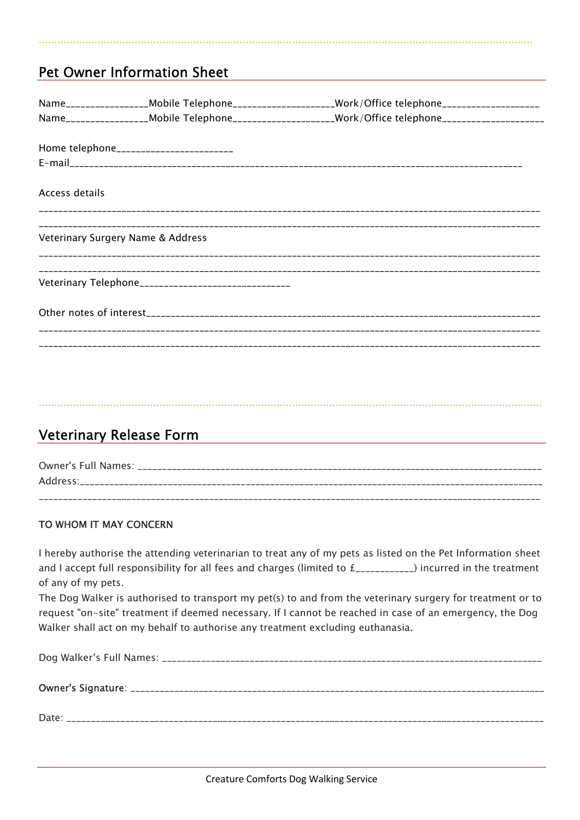# **Pet Owner Information Sheet**

|                |                                                      | Name________________Mobile Telephone______________________Work/Office telephone____________________ |
|----------------|------------------------------------------------------|-----------------------------------------------------------------------------------------------------|
|                |                                                      | Name________________Mobile Telephone______________________Work/Office telephone____________________ |
|                |                                                      |                                                                                                     |
|                | Home telephone________________________               |                                                                                                     |
|                |                                                      |                                                                                                     |
|                |                                                      |                                                                                                     |
| Access details |                                                      |                                                                                                     |
|                |                                                      |                                                                                                     |
|                | Veterinary Surgery Name & Address                    |                                                                                                     |
|                |                                                      |                                                                                                     |
|                |                                                      |                                                                                                     |
|                | Veterinary Telephone________________________________ |                                                                                                     |
|                |                                                      |                                                                                                     |
|                |                                                      |                                                                                                     |
|                |                                                      |                                                                                                     |
|                |                                                      |                                                                                                     |
|                |                                                      |                                                                                                     |
|                |                                                      |                                                                                                     |

# **Veterinary Release Form**

#### TO WHOM IT MAY CONCERN

I hereby authorise the attending veterinarian to treat any of my pets as listed on the Pet Information sheet and I accept full responsibility for all fees and charges (limited to £\_\_\_\_\_\_\_\_\_\_\_) incurred in the treatment of any of my pets.

The Dog Walker is authorised to transport my pet(s) to and from the veterinary surgery for treatment or to request "on-site" treatment if deemed necessary. If I cannot be reached in case of an emergency, the Dog Walker shall act on my behalf to authorise any treatment excluding euthanasia.

| Date: |  |
|-------|--|